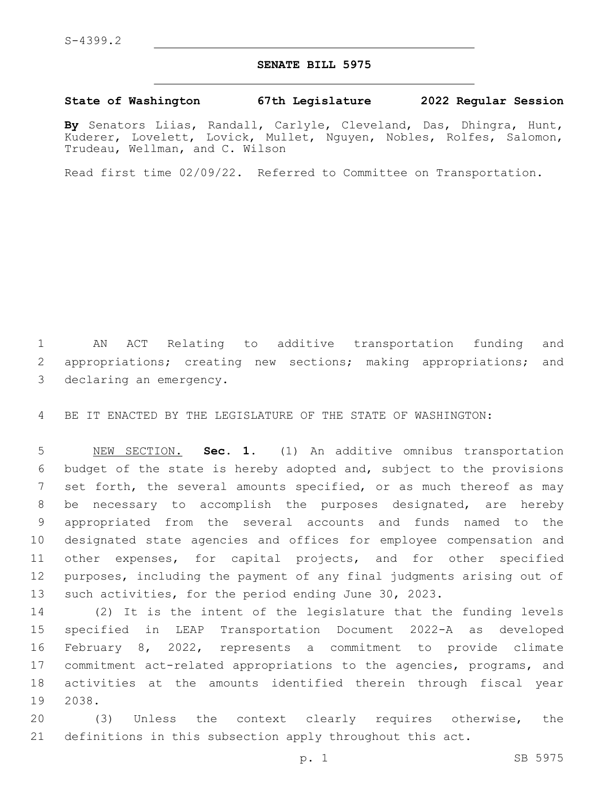## **SENATE BILL 5975**

#### **State of Washington 67th Legislature 2022 Regular Session**

**By** Senators Liias, Randall, Carlyle, Cleveland, Das, Dhingra, Hunt, Kuderer, Lovelett, Lovick, Mullet, Nguyen, Nobles, Rolfes, Salomon, Trudeau, Wellman, and C. Wilson

Read first time 02/09/22. Referred to Committee on Transportation.

 AN ACT Relating to additive transportation funding and appropriations; creating new sections; making appropriations; and 3 declaring an emergency.

BE IT ENACTED BY THE LEGISLATURE OF THE STATE OF WASHINGTON:

 NEW SECTION. **Sec. 1.** (1) An additive omnibus transportation budget of the state is hereby adopted and, subject to the provisions 7 set forth, the several amounts specified, or as much thereof as may be necessary to accomplish the purposes designated, are hereby appropriated from the several accounts and funds named to the designated state agencies and offices for employee compensation and other expenses, for capital projects, and for other specified purposes, including the payment of any final judgments arising out of such activities, for the period ending June 30, 2023.

 (2) It is the intent of the legislature that the funding levels specified in LEAP Transportation Document 2022-A as developed February 8, 2022, represents a commitment to provide climate commitment act-related appropriations to the agencies, programs, and activities at the amounts identified therein through fiscal year 19 2038.

 (3) Unless the context clearly requires otherwise, the definitions in this subsection apply throughout this act.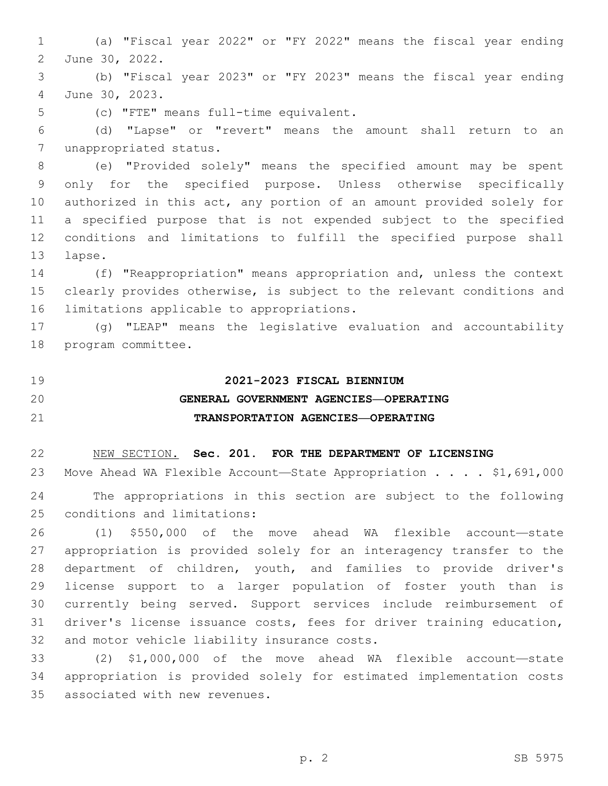(a) "Fiscal year 2022" or "FY 2022" means the fiscal year ending 2 June 30, 2022.

 (b) "Fiscal year 2023" or "FY 2023" means the fiscal year ending June 30, 2023.4

(c) "FTE" means full-time equivalent.5

 (d) "Lapse" or "revert" means the amount shall return to an 7 unappropriated status.

 (e) "Provided solely" means the specified amount may be spent only for the specified purpose. Unless otherwise specifically authorized in this act, any portion of an amount provided solely for a specified purpose that is not expended subject to the specified conditions and limitations to fulfill the specified purpose shall 13 lapse.

 (f) "Reappropriation" means appropriation and, unless the context clearly provides otherwise, is subject to the relevant conditions and 16 limitations applicable to appropriations.

 (g) "LEAP" means the legislative evaluation and accountability 18 program committee.

**2021-2023 FISCAL BIENNIUM**

# **GENERAL GOVERNMENT AGENCIES—OPERATING TRANSPORTATION AGENCIES—OPERATING**

NEW SECTION. **Sec. 201. FOR THE DEPARTMENT OF LICENSING**

23 Move Ahead WA Flexible Account—State Appropriation . . . . \$1,691,000 The appropriations in this section are subject to the following 25 conditions and limitations:

 (1) \$550,000 of the move ahead WA flexible account—state appropriation is provided solely for an interagency transfer to the department of children, youth, and families to provide driver's license support to a larger population of foster youth than is currently being served. Support services include reimbursement of driver's license issuance costs, fees for driver training education, 32 and motor vehicle liability insurance costs.

 (2) \$1,000,000 of the move ahead WA flexible account—state appropriation is provided solely for estimated implementation costs 35 associated with new revenues.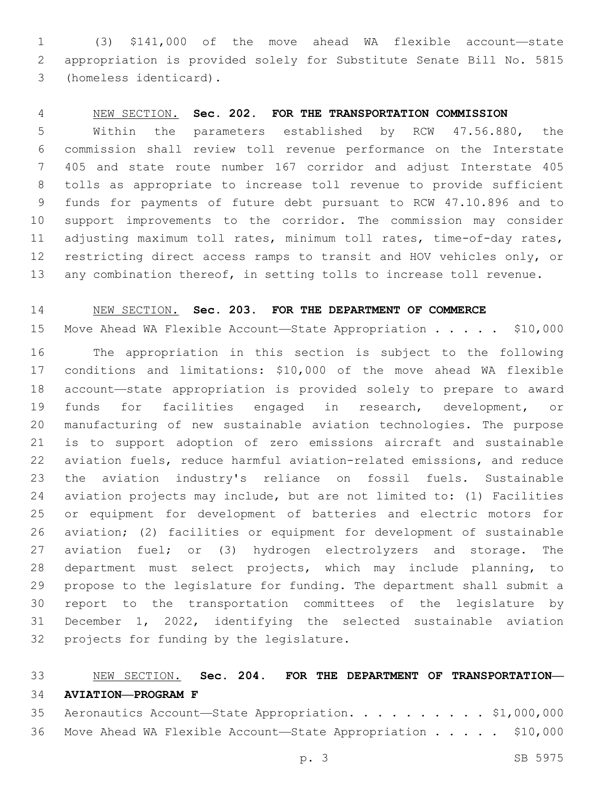(3) \$141,000 of the move ahead WA flexible account—state appropriation is provided solely for Substitute Senate Bill No. 5815 (homeless identicard).3

## NEW SECTION. **Sec. 202. FOR THE TRANSPORTATION COMMISSION**

 Within the parameters established by RCW 47.56.880, the commission shall review toll revenue performance on the Interstate 405 and state route number 167 corridor and adjust Interstate 405 tolls as appropriate to increase toll revenue to provide sufficient funds for payments of future debt pursuant to RCW 47.10.896 and to support improvements to the corridor. The commission may consider 11 adjusting maximum toll rates, minimum toll rates, time-of-day rates, restricting direct access ramps to transit and HOV vehicles only, or any combination thereof, in setting tolls to increase toll revenue.

## NEW SECTION. **Sec. 203. FOR THE DEPARTMENT OF COMMERCE**

15 Move Ahead WA Flexible Account—State Appropriation . . . . \$10,000

 The appropriation in this section is subject to the following conditions and limitations: \$10,000 of the move ahead WA flexible account—state appropriation is provided solely to prepare to award funds for facilities engaged in research, development, or manufacturing of new sustainable aviation technologies. The purpose is to support adoption of zero emissions aircraft and sustainable aviation fuels, reduce harmful aviation-related emissions, and reduce the aviation industry's reliance on fossil fuels. Sustainable aviation projects may include, but are not limited to: (1) Facilities or equipment for development of batteries and electric motors for aviation; (2) facilities or equipment for development of sustainable aviation fuel; or (3) hydrogen electrolyzers and storage. The department must select projects, which may include planning, to propose to the legislature for funding. The department shall submit a report to the transportation committees of the legislature by December 1, 2022, identifying the selected sustainable aviation 32 projects for funding by the legislature.

# NEW SECTION. **Sec. 204. FOR THE DEPARTMENT OF TRANSPORTATION— AVIATION—PROGRAM F**

| 35 Aeronautics Account-State Appropriation. \$1,000,000        |  |
|----------------------------------------------------------------|--|
| 36 Move Ahead WA Flexible Account-State Appropriation \$10,000 |  |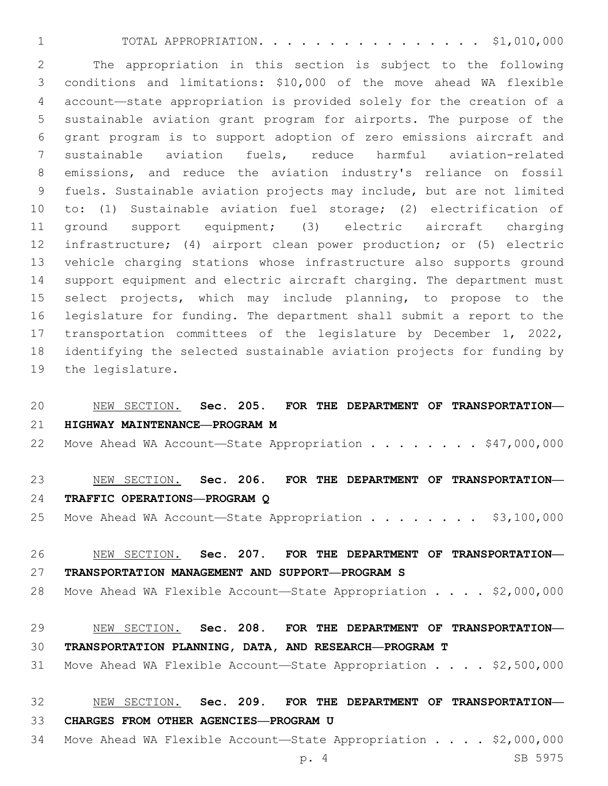TOTAL APPROPRIATION. . . . . . . . . . . . . . . . \$1,010,000

 The appropriation in this section is subject to the following conditions and limitations: \$10,000 of the move ahead WA flexible account—state appropriation is provided solely for the creation of a sustainable aviation grant program for airports. The purpose of the grant program is to support adoption of zero emissions aircraft and sustainable aviation fuels, reduce harmful aviation-related emissions, and reduce the aviation industry's reliance on fossil fuels. Sustainable aviation projects may include, but are not limited to: (1) Sustainable aviation fuel storage; (2) electrification of ground support equipment; (3) electric aircraft charging infrastructure; (4) airport clean power production; or (5) electric vehicle charging stations whose infrastructure also supports ground support equipment and electric aircraft charging. The department must select projects, which may include planning, to propose to the legislature for funding. The department shall submit a report to the transportation committees of the legislature by December 1, 2022, identifying the selected sustainable aviation projects for funding by 19 the legislature.

# NEW SECTION. **Sec. 205. FOR THE DEPARTMENT OF TRANSPORTATION— HIGHWAY MAINTENANCE—PROGRAM M**

22 Move Ahead WA Account-State Appropriation . . . . . . . \$47,000,000

# NEW SECTION. **Sec. 206. FOR THE DEPARTMENT OF TRANSPORTATION— TRAFFIC OPERATIONS—PROGRAM Q**

25 Move Ahead WA Account—State Appropriation . . . . . . . \$3,100,000

 NEW SECTION. **Sec. 207. FOR THE DEPARTMENT OF TRANSPORTATION— TRANSPORTATION MANAGEMENT AND SUPPORT—PROGRAM S**

28 Move Ahead WA Flexible Account—State Appropriation . . . . \$2,000,000

# NEW SECTION. **Sec. 208. FOR THE DEPARTMENT OF TRANSPORTATION— TRANSPORTATION PLANNING, DATA, AND RESEARCH—PROGRAM T**

Move Ahead WA Flexible Account—State Appropriation . . . . \$2,500,000

## NEW SECTION. **Sec. 209. FOR THE DEPARTMENT OF TRANSPORTATION— CHARGES FROM OTHER AGENCIES—PROGRAM U**

- 
- 34 Move Ahead WA Flexible Account-State Appropriation . . . . \$2,000,000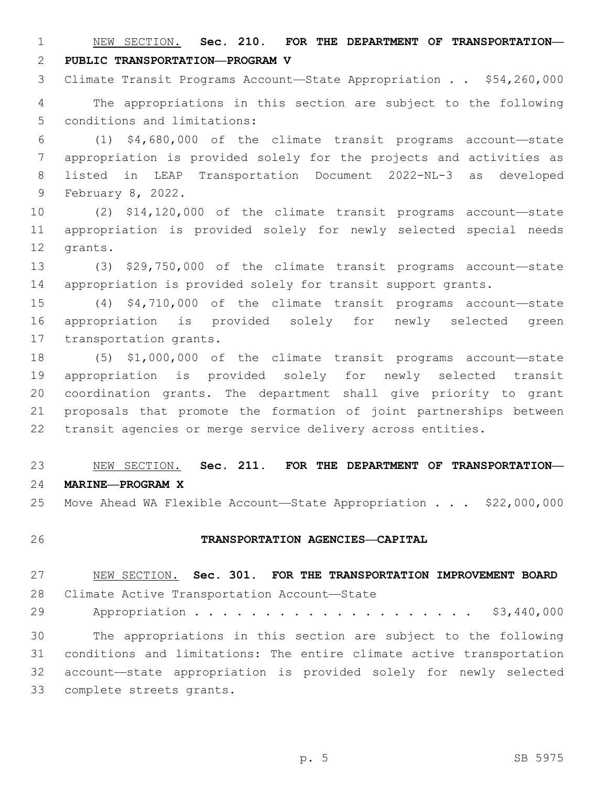NEW SECTION. **Sec. 210. FOR THE DEPARTMENT OF TRANSPORTATION— PUBLIC TRANSPORTATION—PROGRAM V**

Climate Transit Programs Account—State Appropriation . . \$54,260,000

 The appropriations in this section are subject to the following 5 conditions and limitations:

 (1) \$4,680,000 of the climate transit programs account—state appropriation is provided solely for the projects and activities as listed in LEAP Transportation Document 2022-NL-3 as developed 9 February 8, 2022.

 (2) \$14,120,000 of the climate transit programs account—state appropriation is provided solely for newly selected special needs 12 grants.

 (3) \$29,750,000 of the climate transit programs account—state appropriation is provided solely for transit support grants.

 (4) \$4,710,000 of the climate transit programs account—state appropriation is provided solely for newly selected green 17 transportation grants.

 (5) \$1,000,000 of the climate transit programs account—state appropriation is provided solely for newly selected transit coordination grants. The department shall give priority to grant proposals that promote the formation of joint partnerships between transit agencies or merge service delivery across entities.

 NEW SECTION. **Sec. 211. FOR THE DEPARTMENT OF TRANSPORTATION— MARINE—PROGRAM X**

25 Move Ahead WA Flexible Account-State Appropriation . . . \$22,000,000

### **TRANSPORTATION AGENCIES—CAPITAL**

 NEW SECTION. **Sec. 301. FOR THE TRANSPORTATION IMPROVEMENT BOARD** 28 Climate Active Transportation Account-State 29 Appropriation . . . . . . . . . . . . . . . . . . \$3,440,000 The appropriations in this section are subject to the following conditions and limitations: The entire climate active transportation account—state appropriation is provided solely for newly selected 33 complete streets grants.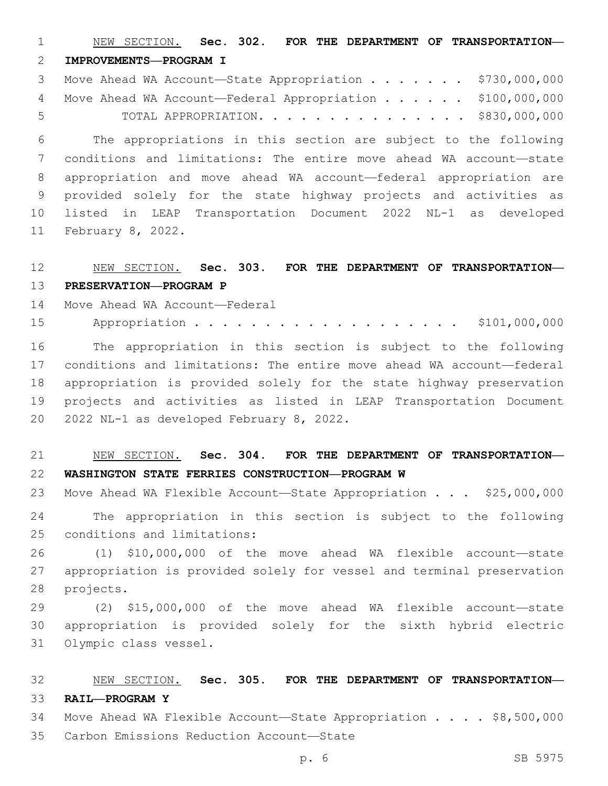NEW SECTION. **Sec. 302. FOR THE DEPARTMENT OF TRANSPORTATION— IMPROVEMENTS—PROGRAM I**

3 Move Ahead WA Account—State Appropriation . . . . . . \$730,000,000 4 Move Ahead WA Account-Federal Appropriation . . . . . \$100,000,000 TOTAL APPROPRIATION. . . . . . . . . . . . . . . \$830,000,000

 The appropriations in this section are subject to the following conditions and limitations: The entire move ahead WA account—state appropriation and move ahead WA account—federal appropriation are provided solely for the state highway projects and activities as listed in LEAP Transportation Document 2022 NL-1 as developed 11 February 8, 2022.

## NEW SECTION. **Sec. 303. FOR THE DEPARTMENT OF TRANSPORTATION— PRESERVATION—PROGRAM P**

14 Move Ahead WA Account—Federal

15 Appropriation . . . . . . . . . . . . . . . . . \$101,000,000

 The appropriation in this section is subject to the following conditions and limitations: The entire move ahead WA account—federal appropriation is provided solely for the state highway preservation projects and activities as listed in LEAP Transportation Document 20 2022 NL-1 as developed February 8, 2022.

# NEW SECTION. **Sec. 304. FOR THE DEPARTMENT OF TRANSPORTATION— WASHINGTON STATE FERRIES CONSTRUCTION—PROGRAM W**

23 Move Ahead WA Flexible Account-State Appropriation . . . \$25,000,000

 The appropriation in this section is subject to the following 25 conditions and limitations:

 (1) \$10,000,000 of the move ahead WA flexible account—state appropriation is provided solely for vessel and terminal preservation 28 projects.

 (2) \$15,000,000 of the move ahead WA flexible account—state appropriation is provided solely for the sixth hybrid electric 31 Olympic class vessel.

# NEW SECTION. **Sec. 305. FOR THE DEPARTMENT OF TRANSPORTATION— RAIL—PROGRAM Y**

34 Move Ahead WA Flexible Account—State Appropriation . . . . \$8,500,000

35 Carbon Emissions Reduction Account-State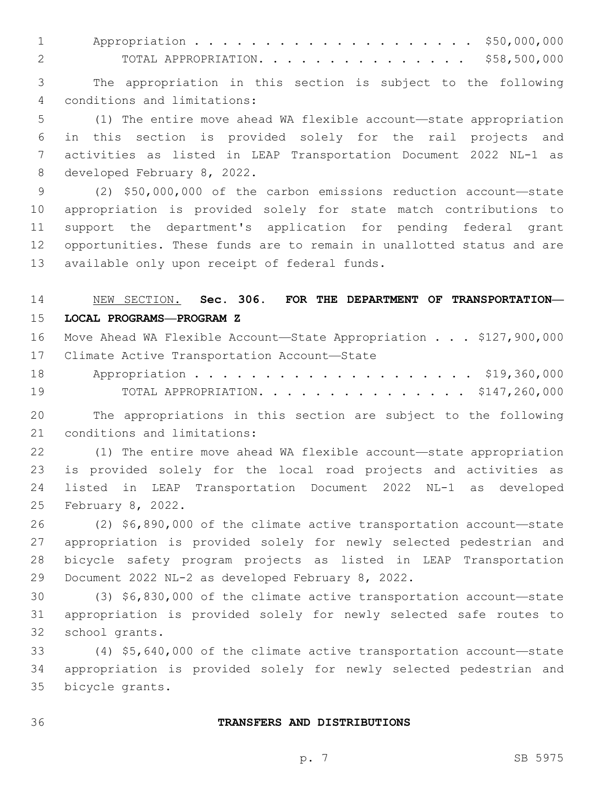1 Appropriation . . . . . . . . . . . . . . . . . . \$50,000,000 TOTAL APPROPRIATION. . . . . . . . . . . . . . . \$58,500,000

 The appropriation in this section is subject to the following conditions and limitations:4

 (1) The entire move ahead WA flexible account—state appropriation in this section is provided solely for the rail projects and activities as listed in LEAP Transportation Document 2022 NL-1 as 8 developed February 8, 2022.

 (2) \$50,000,000 of the carbon emissions reduction account—state appropriation is provided solely for state match contributions to support the department's application for pending federal grant opportunities. These funds are to remain in unallotted status and are 13 available only upon receipt of federal funds.

# NEW SECTION. **Sec. 306. FOR THE DEPARTMENT OF TRANSPORTATION— LOCAL PROGRAMS—PROGRAM Z**

|    | 16 Move Ahead WA Flexible Account-State Appropriation \$127,900,000 |
|----|---------------------------------------------------------------------|
|    | 17 Climate Active Transportation Account-State                      |
|    | Appropriation \$19,360,000                                          |
| 19 | TOTAL APPROPRIATION. \$147,260,000                                  |

 The appropriations in this section are subject to the following 21 conditions and limitations:

 (1) The entire move ahead WA flexible account—state appropriation is provided solely for the local road projects and activities as listed in LEAP Transportation Document 2022 NL-1 as developed 25 February 8, 2022.

 (2) \$6,890,000 of the climate active transportation account—state appropriation is provided solely for newly selected pedestrian and bicycle safety program projects as listed in LEAP Transportation 29 Document 2022 NL-2 as developed February 8, 2022.

 (3) \$6,830,000 of the climate active transportation account—state appropriation is provided solely for newly selected safe routes to 32 school grants.

 (4) \$5,640,000 of the climate active transportation account—state appropriation is provided solely for newly selected pedestrian and 35 bicycle grants.

## **TRANSFERS AND DISTRIBUTIONS**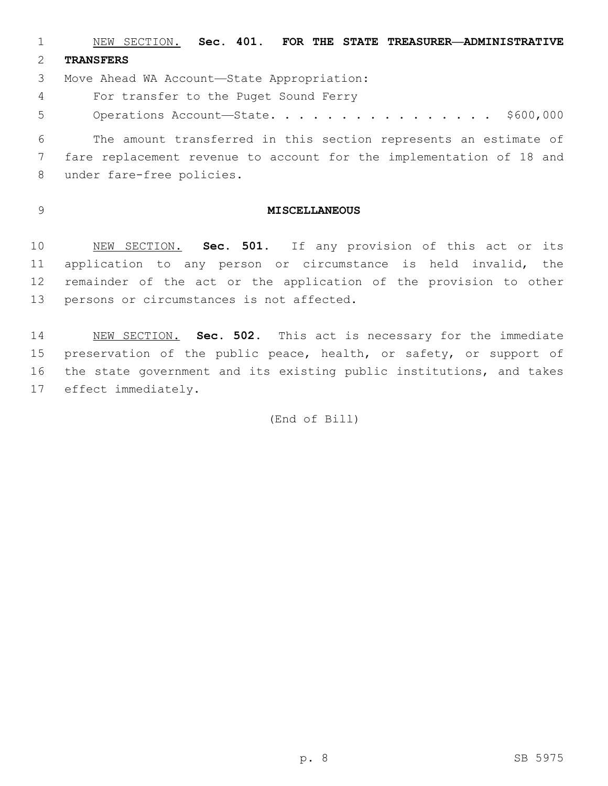NEW SECTION. **Sec. 401. FOR THE STATE TREASURER—ADMINISTRATIVE TRANSFERS**

3 Move Ahead WA Account-State Appropriation:

For transfer to the Puget Sound Ferry4

5 Operations Account-State. . . . . . . . . . . . . . . \$600,000

 The amount transferred in this section represents an estimate of fare replacement revenue to account for the implementation of 18 and 8 under fare-free policies.

## **MISCELLANEOUS**

 NEW SECTION. **Sec. 501.** If any provision of this act or its application to any person or circumstance is held invalid, the remainder of the act or the application of the provision to other persons or circumstances is not affected.

 NEW SECTION. **Sec. 502.** This act is necessary for the immediate preservation of the public peace, health, or safety, or support of the state government and its existing public institutions, and takes effect immediately.

(End of Bill)